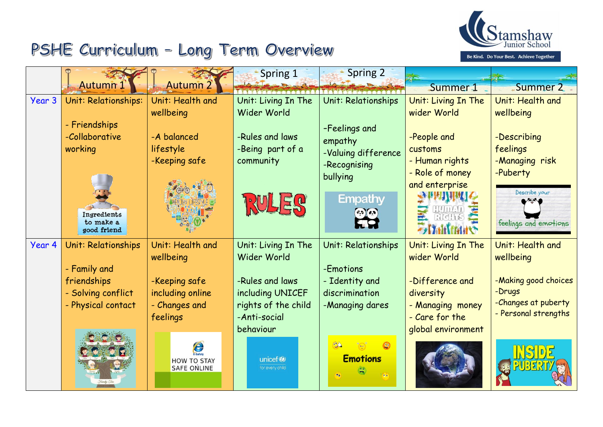

## PSHE Curriculum - Long Term Overview

|        |                          |                                | Spring 1            | <b>Spring 2</b>     |                     |                       |
|--------|--------------------------|--------------------------------|---------------------|---------------------|---------------------|-----------------------|
|        | <b>Autumn1</b>           | <b>Autumn 2</b>                |                     |                     | Summer 1            | Summer 2              |
| Year 3 | Unit: Relationships:     | Unit: Health and               | Unit: Living In The | Unit: Relationships | Unit: Living In The | Unit: Health and      |
|        |                          | wellbeing                      | Wider World         |                     | wider World         | wellbeing             |
|        | - Friendships            |                                |                     | -Feelings and       |                     |                       |
|        | -Collaborative           | -A balanced                    | -Rules and laws     | empathy             | -People and         | -Describing           |
|        | working                  | lifestyle                      | -Being part of a    | -Valuing difference | customs             | feelings              |
|        |                          | -Keeping safe                  | community           | -Recognising        | - Human rights      | -Managing risk        |
|        |                          |                                |                     | bullying            | - Role of money     | -Puberty              |
|        |                          |                                |                     |                     | and enterprise      | Describe your         |
|        |                          |                                |                     | <b>Empathy</b>      |                     |                       |
|        | Ingredients              |                                |                     | $(e, 0)$ $(e, 0)$   |                     |                       |
|        | to make a<br>good friend |                                |                     |                     |                     | feelings and emotions |
| Year 4 | Unit: Relationships      | Unit: Health and               | Unit: Living In The | Unit: Relationships | Unit: Living In The | Unit: Health and      |
|        |                          | wellbeing                      | Wider World         |                     | wider World         | wellbeing             |
|        | - Family and             |                                |                     | -Emotions           |                     |                       |
|        | friendships              | -Keeping safe                  | -Rules and laws     | - Identity and      | -Difference and     | -Making good choices  |
|        | - Solving conflict       | including online               | including UNICEF    | discrimination      | diversity           | -Drugs                |
|        | - Physical contact       | - Changes and                  | rights of the child | -Managing dares     | - Managing money    | -Changes at puberty   |
|        |                          | feelings                       | -Anti-social        |                     | - Care for the      | - Personal strengths  |
|        |                          |                                | behaviour           |                     | global environment  |                       |
|        |                          |                                |                     | 32                  |                     |                       |
|        |                          | E-Safety<br><b>HOW TO STAY</b> | unicef®             | <b>Emotions</b>     |                     |                       |
|        |                          | <b>SAFE ONLINE</b>             | for every child     |                     |                     |                       |
|        |                          |                                |                     |                     |                     |                       |
|        |                          |                                |                     |                     |                     |                       |